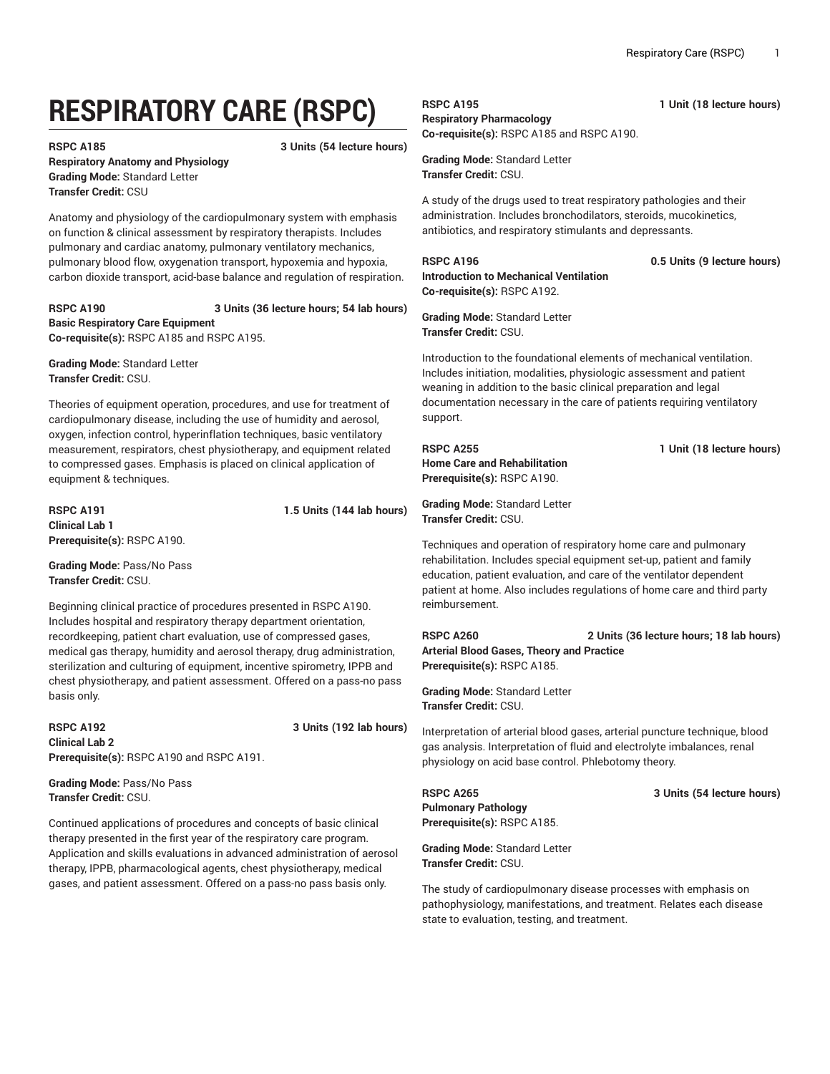# **RESPIRATORY CARE (RSPC)**

#### **RSPC A185 3 Units (54 lecture hours)**

**Respiratory Anatomy and Physiology Grading Mode:** Standard Letter **Transfer Credit:** CSU

Anatomy and physiology of the cardiopulmonary system with emphasis on function & clinical assessment by respiratory therapists. Includes pulmonary and cardiac anatomy, pulmonary ventilatory mechanics, pulmonary blood flow, oxygenation transport, hypoxemia and hypoxia, carbon dioxide transport, acid-base balance and regulation of respiration.

**RSPC A190 3 Units (36 lecture hours; 54 lab hours) Basic Respiratory Care Equipment Co-requisite(s):** RSPC A185 and RSPC A195.

**Grading Mode:** Standard Letter **Transfer Credit:** CSU.

Theories of equipment operation, procedures, and use for treatment of cardiopulmonary disease, including the use of humidity and aerosol, oxygen, infection control, hyperinflation techniques, basic ventilatory measurement, respirators, chest physiotherapy, and equipment related to compressed gases. Emphasis is placed on clinical application of equipment & techniques.

**RSPC A191 1.5 Units (144 lab hours) Clinical Lab 1 Prerequisite(s):** RSPC A190.

**Grading Mode:** Pass/No Pass **Transfer Credit:** CSU.

Beginning clinical practice of procedures presented in RSPC A190. Includes hospital and respiratory therapy department orientation, recordkeeping, patient chart evaluation, use of compressed gases, medical gas therapy, humidity and aerosol therapy, drug administration, sterilization and culturing of equipment, incentive spirometry, IPPB and chest physiotherapy, and patient assessment. Offered on a pass-no pass basis only.

#### **RSPC A192 3 Units (192 lab hours) Clinical Lab 2 Prerequisite(s):** RSPC A190 and RSPC A191.

**Grading Mode:** Pass/No Pass **Transfer Credit:** CSU.

Continued applications of procedures and concepts of basic clinical therapy presented in the first year of the respiratory care program. Application and skills evaluations in advanced administration of aerosol therapy, IPPB, pharmacological agents, chest physiotherapy, medical gases, and patient assessment. Offered on a pass-no pass basis only.

### **RSPC A195 1 Unit (18 lecture hours) Respiratory Pharmacology Co-requisite(s):** RSPC A185 and RSPC A190.

**Grading Mode:** Standard Letter

**Transfer Credit:** CSU.

A study of the drugs used to treat respiratory pathologies and their administration. Includes bronchodilators, steroids, mucokinetics, antibiotics, and respiratory stimulants and depressants.

## **Introduction to Mechanical Ventilation Co-requisite(s):** RSPC A192.

**RSPC A196 0.5 Units (9 lecture hours)**

**Grading Mode:** Standard Letter **Transfer Credit:** CSU.

Introduction to the foundational elements of mechanical ventilation. Includes initiation, modalities, physiologic assessment and patient weaning in addition to the basic clinical preparation and legal documentation necessary in the care of patients requiring ventilatory support.

**Home Care and Rehabilitation Prerequisite(s):** RSPC A190.

**Grading Mode:** Standard Letter **Transfer Credit:** CSU.

Techniques and operation of respiratory home care and pulmonary rehabilitation. Includes special equipment set-up, patient and family education, patient evaluation, and care of the ventilator dependent patient at home. Also includes regulations of home care and third party reimbursement.

**RSPC A260 2 Units (36 lecture hours; 18 lab hours) Arterial Blood Gases, Theory and Practice Prerequisite(s):** RSPC A185.

**Grading Mode:** Standard Letter **Transfer Credit:** CSU.

Interpretation of arterial blood gases, arterial puncture technique, blood gas analysis. Interpretation of fluid and electrolyte imbalances, renal physiology on acid base control. Phlebotomy theory.

**RSPC A265 3 Units (54 lecture hours) Pulmonary Pathology Prerequisite(s):** RSPC A185.

**Grading Mode:** Standard Letter **Transfer Credit:** CSU.

The study of cardiopulmonary disease processes with emphasis on pathophysiology, manifestations, and treatment. Relates each disease state to evaluation, testing, and treatment.

**RSPC A255 1 Unit (18 lecture hours)**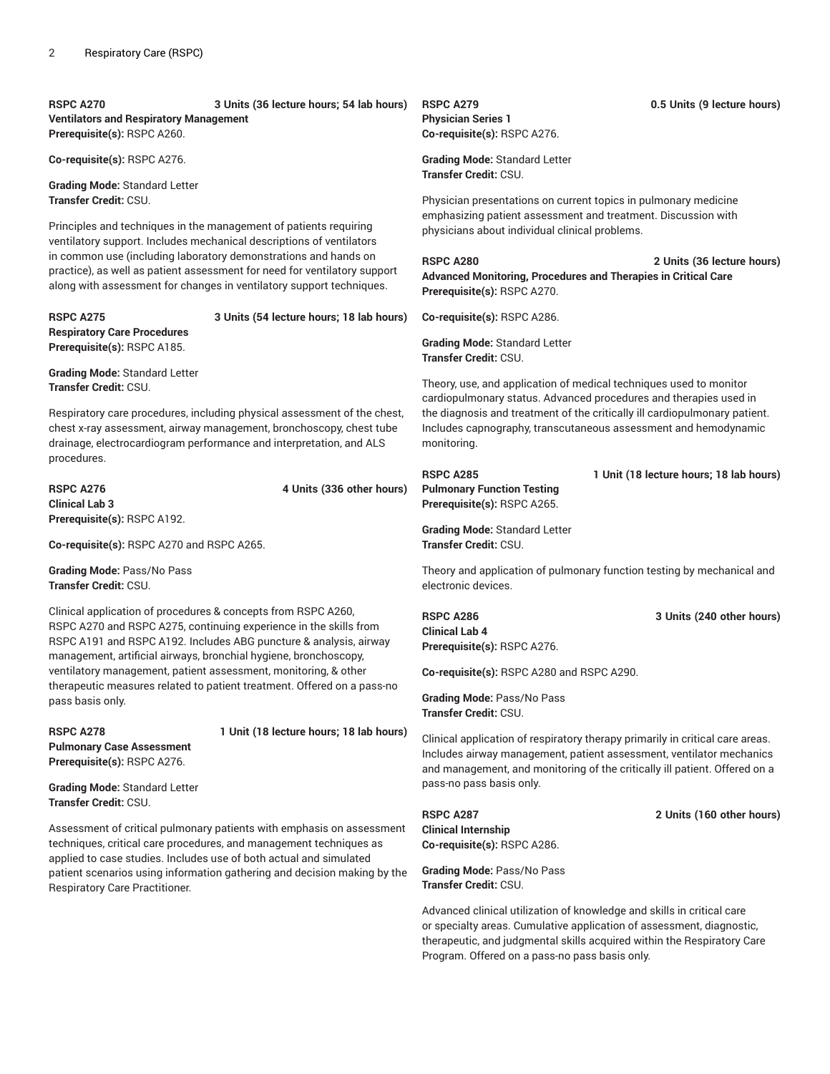**RSPC A270 3 Units (36 lecture hours; 54 lab hours) Ventilators and Respiratory Management Prerequisite(s):** RSPC A260.

**Co-requisite(s):** RSPC A276.

**Grading Mode:** Standard Letter **Transfer Credit:** CSU.

Principles and techniques in the management of patients requiring ventilatory support. Includes mechanical descriptions of ventilators in common use (including laboratory demonstrations and hands on practice), as well as patient assessment for need for ventilatory support along with assessment for changes in ventilatory support techniques.

**Respiratory Care Procedures Prerequisite(s):** RSPC A185.

**RSPC A275 3 Units (54 lecture hours; 18 lab hours)**

**Grading Mode:** Standard Letter **Transfer Credit:** CSU.

Respiratory care procedures, including physical assessment of the chest, chest x-ray assessment, airway management, bronchoscopy, chest tube drainage, electrocardiogram performance and interpretation, and ALS procedures.

**RSPC A276 4 Units (336 other hours) Clinical Lab 3 Prerequisite(s):** RSPC A192.

**Co-requisite(s):** RSPC A270 and RSPC A265.

**Grading Mode:** Pass/No Pass **Transfer Credit:** CSU.

Clinical application of procedures & concepts from RSPC A260, RSPC A270 and RSPC A275, continuing experience in the skills from RSPC A191 and RSPC A192. Includes ABG puncture & analysis, airway management, artificial airways, bronchial hygiene, bronchoscopy, ventilatory management, patient assessment, monitoring, & other therapeutic measures related to patient treatment. Offered on a pass-no pass basis only.

**Pulmonary Case Assessment**

**RSPC A278 1 Unit (18 lecture hours; 18 lab hours)**

**Prerequisite(s):** RSPC A276.

**Grading Mode:** Standard Letter **Transfer Credit:** CSU.

Assessment of critical pulmonary patients with emphasis on assessment techniques, critical care procedures, and management techniques as applied to case studies. Includes use of both actual and simulated patient scenarios using information gathering and decision making by the Respiratory Care Practitioner.

**Physician Series 1 Co-requisite(s):** RSPC A276.

**Grading Mode:** Standard Letter **Transfer Credit:** CSU.

Physician presentations on current topics in pulmonary medicine emphasizing patient assessment and treatment. Discussion with physicians about individual clinical problems.

**RSPC A280 2 Units (36 lecture hours) Advanced Monitoring, Procedures and Therapies in Critical Care Prerequisite(s):** RSPC A270.

**Co-requisite(s):** RSPC A286.

**Grading Mode:** Standard Letter **Transfer Credit:** CSU.

Theory, use, and application of medical techniques used to monitor cardiopulmonary status. Advanced procedures and therapies used in the diagnosis and treatment of the critically ill cardiopulmonary patient. Includes capnography, transcutaneous assessment and hemodynamic monitoring.

**RSPC A285 1 Unit (18 lecture hours; 18 lab hours) Pulmonary Function Testing Prerequisite(s):** RSPC A265.

**Grading Mode:** Standard Letter **Transfer Credit:** CSU.

Theory and application of pulmonary function testing by mechanical and electronic devices.

**Clinical Lab 4 Prerequisite(s):** RSPC A276.

**Co-requisite(s):** RSPC A280 and RSPC A290.

**Grading Mode:** Pass/No Pass **Transfer Credit:** CSU.

Clinical application of respiratory therapy primarily in critical care areas. Includes airway management, patient assessment, ventilator mechanics and management, and monitoring of the critically ill patient. Offered on a pass-no pass basis only.

**RSPC A287 2 Units (160 other hours) Clinical Internship Co-requisite(s):** RSPC A286.

**Grading Mode:** Pass/No Pass **Transfer Credit:** CSU.

Advanced clinical utilization of knowledge and skills in critical care or specialty areas. Cumulative application of assessment, diagnostic, therapeutic, and judgmental skills acquired within the Respiratory Care Program. Offered on a pass-no pass basis only.

**RSPC A279 0.5 Units (9 lecture hours)**

**RSPC A286 3 Units (240 other hours)**